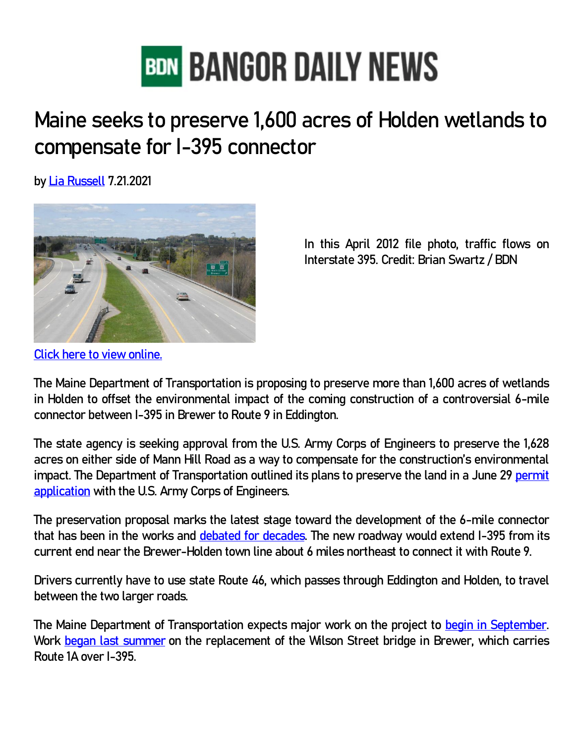

## **Maine seeks to preserve 1,600 acres of Holden wetlands to compensate for I-395 connector**

**by [Lia Russell](https://bangordailynews.com/author/lrussell/) 7.21.2021**



**In this April 2012 file photo, traffic flows on Interstate 395. Credit: Brian Swartz / BDN**

**[Click here to view online.](https://bangordailynews.com/2021/07/21/news/bangor/maine-seeks-to-preserve-1600-acres-of-holden-wetlands-to-compensate-for-i-395-connector/)**

**The Maine Department of Transportation is proposing to preserve more than 1,600 acres of wetlands in Holden to offset the environmental impact of the coming construction of a controversial 6-mile connector between I-395 in Brewer to Route 9 in Eddington.**

**The state agency is seeking approval from the U.S. Army Corps of Engineers to preserve the 1,628 acres on either side of Mann Hill Road as a way to compensate for the construction's environmental impact. The Department of Transportation outlined its plans to preserve the land in a June 29 [permit](https://www.nae.usace.army.mil/Portals/74/docs/regulatory/PublicNotices/2021/NAE-2004-02472-PN-DOT-I-395-Route-9-Connector.pdf)  [application](https://www.nae.usace.army.mil/Portals/74/docs/regulatory/PublicNotices/2021/NAE-2004-02472-PN-DOT-I-395-Route-9-Connector.pdf) with the U.S. Army Corps of Engineers.**

**The preservation proposal marks the latest stage toward the development of the 6-mile connector that has been in the works and [debated for decades.](https://bangordailynews.com/2019/02/25/news/bangor/debate-rages-on-as-state-readies-to-break-ground-on-i-395-connector/) The new roadway would extend I-395 from its current end near the Brewer-Holden town line about 6 miles northeast to connect it with Route 9.**

**Drivers currently have to use state Route 46, which passes through Eddington and Holden, to travel between the two larger roads.**

**The Maine Department of Transportation expects major work on the project to [begin in September.](https://bangordailynews.com/2021/01/25/news/bangor/work-on-controversial-i-395-connector-to-route-9-to-begin-in-september-dot-says/) Work [began last summer](https://www.maine.gov/mdot/projects/I395rt9connector/updates/#undefined2) on the replacement of the Wilson Street bridge in Brewer, which carries Route 1A over I-395.**